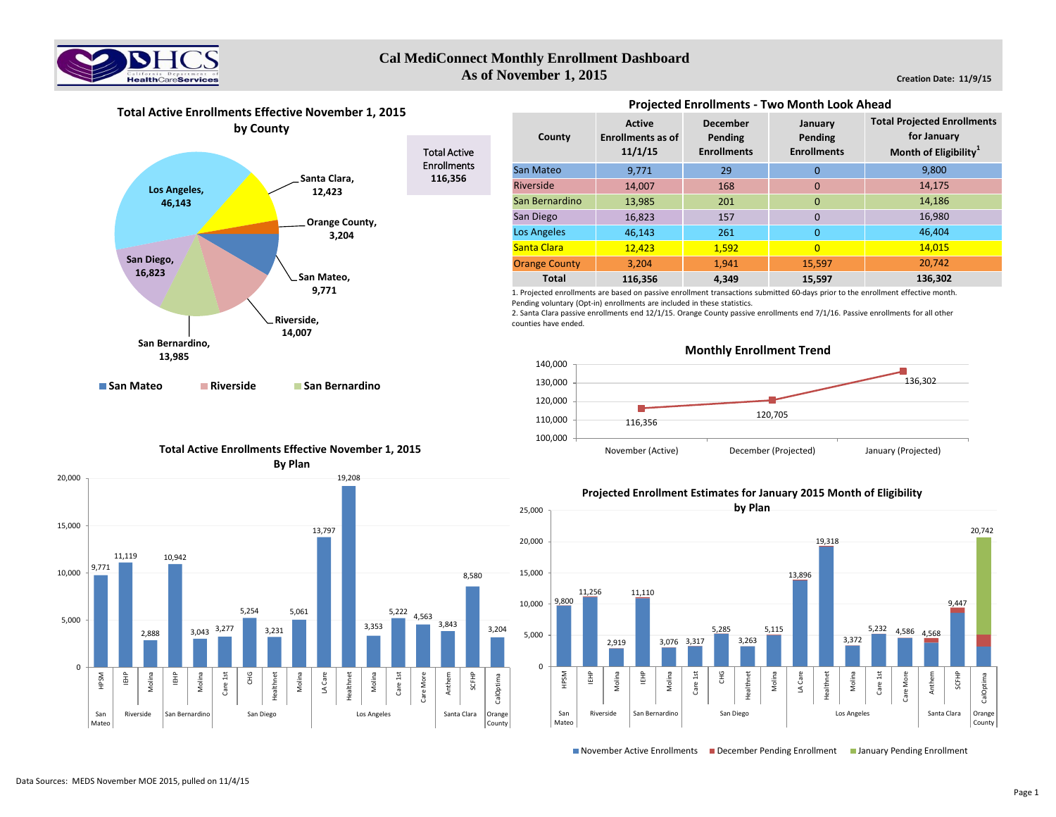

#### **Creation Date: 11/9/15**





**San Mateo Riverside San Bernardino**

# **Total Active Enrollments Effective November 1, 2015 By Plan**



| <b>Projected Enrollments - Two Month Look Ahead</b> |                                                      |                                                  |                                          |                                                                                        |  |  |  |  |  |  |
|-----------------------------------------------------|------------------------------------------------------|--------------------------------------------------|------------------------------------------|----------------------------------------------------------------------------------------|--|--|--|--|--|--|
| County                                              | <b>Active</b><br><b>Enrollments as of</b><br>11/1/15 | <b>December</b><br>Pending<br><b>Enrollments</b> | January<br>Pending<br><b>Enrollments</b> | <b>Total Projected Enrollments</b><br>for January<br>Month of Eligibility <sup>1</sup> |  |  |  |  |  |  |
| San Mateo                                           | 9,771                                                | 29                                               | 0                                        | 9,800                                                                                  |  |  |  |  |  |  |
| <b>Riverside</b>                                    | 14.007                                               | 168                                              | $\Omega$                                 | 14,175                                                                                 |  |  |  |  |  |  |
| San Bernardino                                      | 13,985                                               | 201                                              | $\Omega$                                 | 14,186                                                                                 |  |  |  |  |  |  |
| San Diego                                           | 16,823                                               | 157                                              | $\Omega$                                 | 16,980                                                                                 |  |  |  |  |  |  |
| <b>Los Angeles</b>                                  | 46,143                                               | 261                                              | $\Omega$                                 | 46.404                                                                                 |  |  |  |  |  |  |
| Santa Clara                                         | 12,423                                               | 1,592                                            | $\Omega$                                 | 14,015                                                                                 |  |  |  |  |  |  |
| <b>Orange County</b>                                | 3,204                                                | 1,941                                            | 15,597                                   | 20,742                                                                                 |  |  |  |  |  |  |
| <b>Total</b>                                        | 116.356                                              | 4.349                                            | 15,597                                   | 136,302                                                                                |  |  |  |  |  |  |

1. Projected enrollments are based on passive enrollment transactions submitted 60-days prior to the enrollment effective month. Pending voluntary (Opt-in) enrollments are included in these statistics.

2. Santa Clara passive enrollments end 12/1/15. Orange County passive enrollments end 7/1/16. Passive enrollments for all other counties have ended.



## **Projected Enrollment Estimates for January 2015 Month of Eligibility**



November Active Enrollments December Pending Enrollment January Pending Enrollment